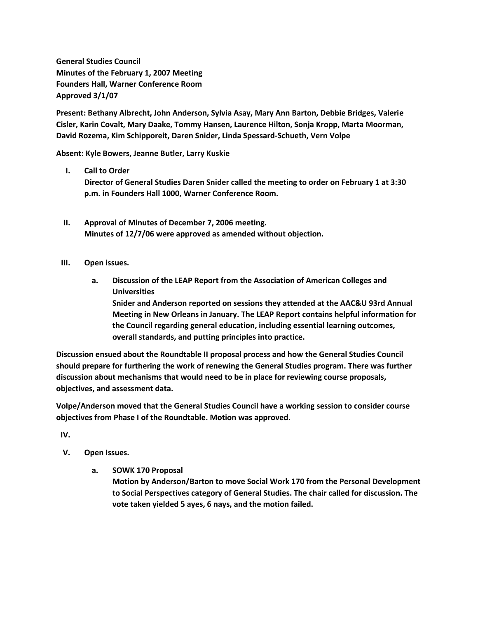**General Studies Council Minutes of the February 1, 2007 Meeting Founders Hall, Warner Conference Room Approved 3/1/07**

**Present: Bethany Albrecht, John Anderson, Sylvia Asay, Mary Ann Barton, Debbie Bridges, Valerie Cisler, Karin Covalt, Mary Daake, Tommy Hansen, Laurence Hilton, Sonja Kropp, Marta Moorman, David Rozema, Kim Schipporeit, Daren Snider, Linda Spessard-Schueth, Vern Volpe**

**Absent: Kyle Bowers, Jeanne Butler, Larry Kuskie**

**I. Call to Order**

**Director of General Studies Daren Snider called the meeting to order on February 1 at 3:30 p.m. in Founders Hall 1000, Warner Conference Room.**

- **II. Approval of Minutes of December 7, 2006 meeting. Minutes of 12/7/06 were approved as amended without objection.**
- **III. Open issues.**
	- **a. Discussion of the LEAP Report from the Association of American Colleges and Universities Snider and Anderson reported on sessions they attended at the AAC&U 93rd Annual Meeting in New Orleans in January. The LEAP Report contains helpful information for the Council regarding general education, including essential learning outcomes, overall standards, and putting principles into practice.**

**Discussion ensued about the Roundtable II proposal process and how the General Studies Council should prepare for furthering the work of renewing the General Studies program. There was further discussion about mechanisms that would need to be in place for reviewing course proposals, objectives, and assessment data.**

**Volpe/Anderson moved that the General Studies Council have a working session to consider course objectives from Phase I of the Roundtable. Motion was approved.**

**IV.**

- **V. Open Issues.**
	- **a. SOWK 170 Proposal**

**Motion by Anderson/Barton to move Social Work 170 from the Personal Development to Social Perspectives category of General Studies. The chair called for discussion. The vote taken yielded 5 ayes, 6 nays, and the motion failed.**